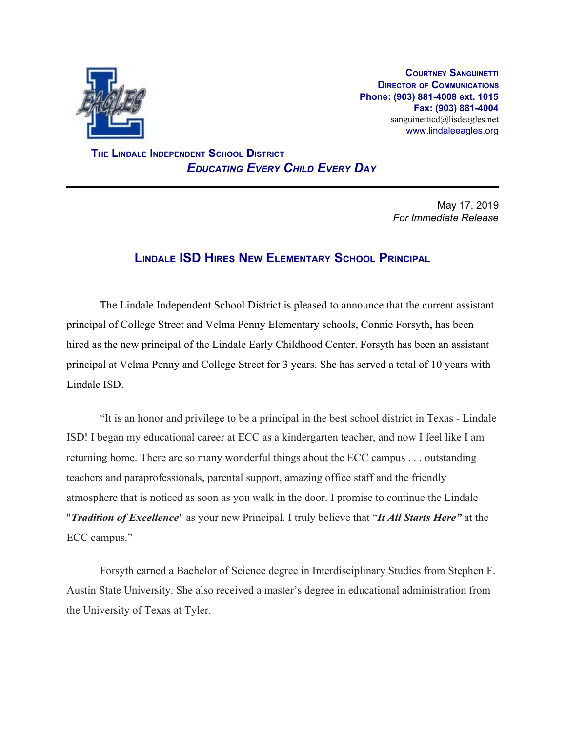

**COURTNEY SANGUINETTI DIRECTOR OF COMMUNICATIONS Phone: (903) 881-4008 ext. 1015 Fax: (903) 881-4004** sanguinetticd@lisdeagles.net www.lindaleeagles.org

 **THE LINDALE INDEPENDENT SCHOOL DISTRICT** *EDUCATING EVERY CHILD EVERY DAY*

> May 17, 2019 *For Immediate Release*

## **LINDALE ISD HIRES NEW ELEMENTARY SCHOOL PRINCIPAL**

The Lindale Independent School District is pleased to announce that the current assistant principal of College Street and Velma Penny Elementary schools, Connie Forsyth, has been hired as the new principal of the Lindale Early Childhood Center. Forsyth has been an assistant principal at Velma Penny and College Street for 3 years. She has served a total of 10 years with Lindale ISD.

"It is an honor and privilege to be a principal in the best school district in Texas - Lindale ISD! I began my educational career at ECC as a kindergarten teacher, and now I feel like I am returning home. There are so many wonderful things about the ECC campus . . . outstanding teachers and paraprofessionals, parental support, amazing office staff and the friendly atmosphere that is noticed as soon as you walk in the door. I promise to continue the Lindale "*Tradition of Excellence*" as your new Principal. I truly believe that "*It All Starts Here"* at the ECC campus."

Forsyth earned a Bachelor of Science degree in Interdisciplinary Studies from Stephen F. Austin State University. She also received a master's degree in educational administration from the University of Texas at Tyler.